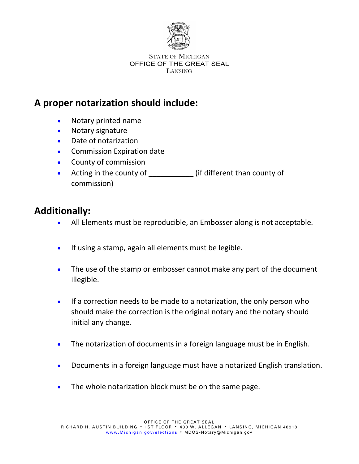

#### STATE OF MICHIGAN OFFICE OF THE GREAT SEAL LANSING

## **A proper notarization should include:**

- Notary printed name
- Notary signature
- Date of notarization
- Commission Expiration date
- County of commission
- Acting in the county of \_\_\_\_\_\_\_\_\_\_\_\_\_ (if different than county of commission)

# **Additionally:**

- All Elements must be reproducible, an Embosser along is not acceptable.
- If using a stamp, again all elements must be legible.
- The use of the stamp or embosser cannot make any part of the document illegible.
- If a correction needs to be made to a notarization, the only person who should make the correction is the original notary and the notary should initial any change.
- The notarization of documents in a foreign language must be in English.
- Documents in a foreign language must have a notarized English translation.
- The whole notarization block must be on the same page.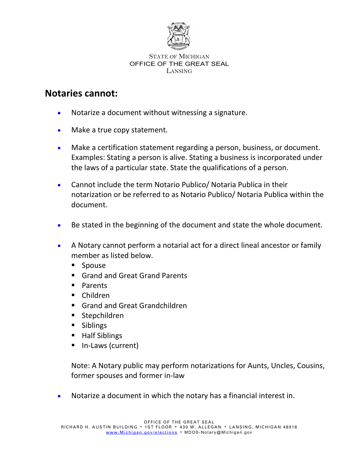

#### STATE OF MICHIGAN OFFICE OF THE GREAT SEAL LANSING

### **Notaries cannot:**

- Notarize a document without witnessing a signature.
- Make a true copy statement.
- Make a certification statement regarding a person, business, or document. Examples: Stating a person is alive. Stating a business is incorporated under the laws of a particular state. State the qualifications of a person.
- Cannot include the term Notario Publico/ Notaria Publica in their notarization or be referred to as Notario Publico/ Notaria Publica within the document.
- Be stated in the beginning of the document and state the whole document.
- A Notary cannot perform a notarial act for a direct lineal ancestor or family member as listed below.
	- **Spouse**
	- Grand and Great Grand Parents
	- **Parents**
	- Children
	- Grand and Great Grandchildren
	- **Stepchildren**
	- **Siblings**
	- Half Siblings
	- In-Laws (current)

Note: A Notary public may perform notarizations for Aunts, Uncles, Cousins, former spouses and former in-law

• Notarize a document in which the notary has a financial interest in.